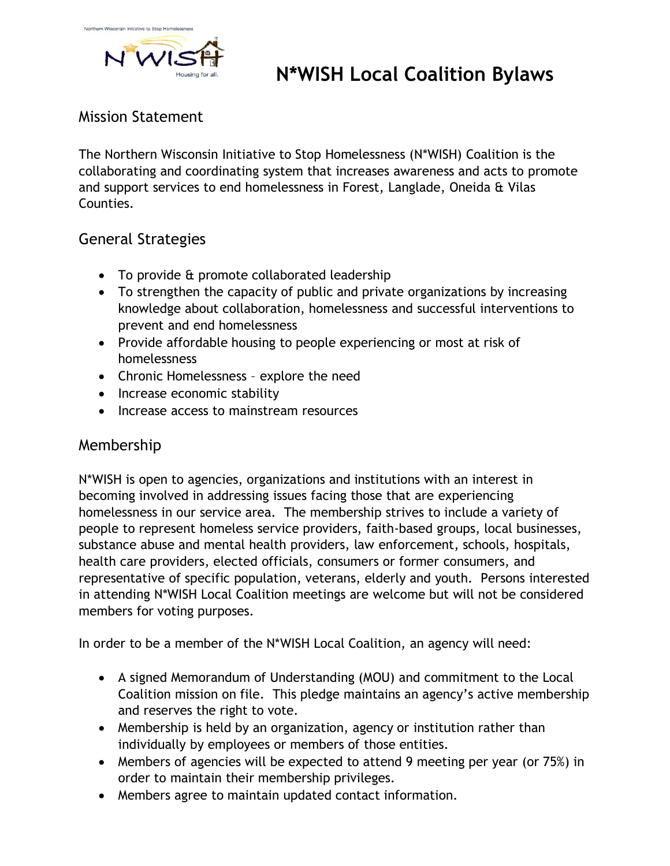

# **N\*WISH Local Coalition Bylaws**

# Mission Statement

The Northern Wisconsin Initiative to Stop Homelessness (N\*WISH) Coalition is the collaborating and coordinating system that increases awareness and acts to promote and support services to end homelessness in Forest, Langlade, Oneida & Vilas Counties.

## General Strategies

- To provide & promote collaborated leadership
- To strengthen the capacity of public and private organizations by increasing knowledge about collaboration, homelessness and successful interventions to prevent and end homelessness
- Provide affordable housing to people experiencing or most at risk of homelessness
- Chronic Homelessness explore the need
- Increase economic stability
- Increase access to mainstream resources

### Membership

N\*WISH is open to agencies, organizations and institutions with an interest in becoming involved in addressing issues facing those that are experiencing homelessness in our service area. The membership strives to include a variety of people to represent homeless service providers, faith-based groups, local businesses, substance abuse and mental health providers, law enforcement, schools, hospitals, health care providers, elected officials, consumers or former consumers, and representative of specific population, veterans, elderly and youth. Persons interested in attending N\*WISH Local Coalition meetings are welcome but will not be considered members for voting purposes.

In order to be a member of the N\*WISH Local Coalition, an agency will need:

- A signed Memorandum of Understanding (MOU) and commitment to the Local Coalition mission on file. This pledge maintains an agency's active membership and reserves the right to vote.
- Membership is held by an organization, agency or institution rather than individually by employees or members of those entities.
- Members of agencies will be expected to attend 9 meeting per year (or 75%) in order to maintain their membership privileges.
- Members agree to maintain updated contact information.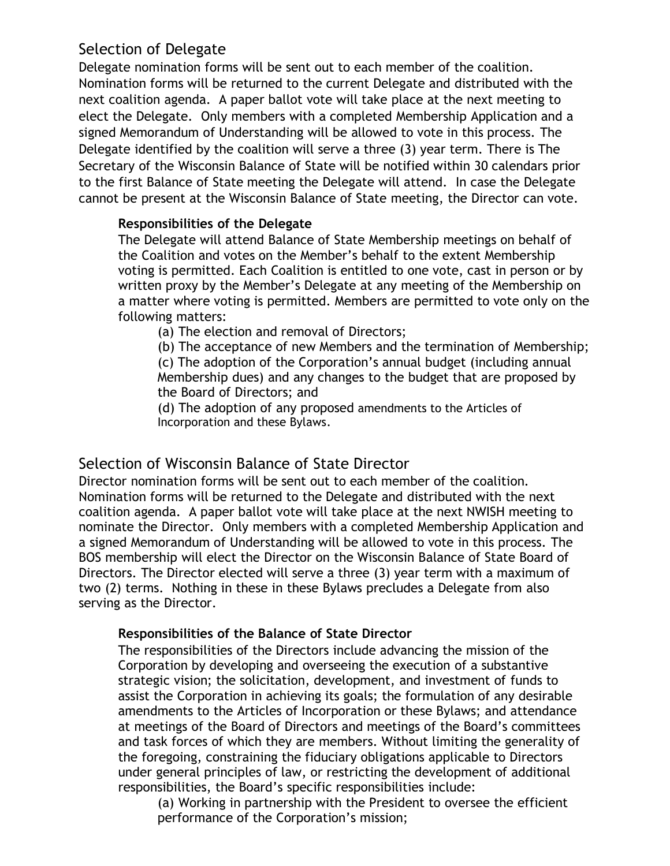# Selection of Delegate

Delegate nomination forms will be sent out to each member of the coalition. Nomination forms will be returned to the current Delegate and distributed with the next coalition agenda. A paper ballot vote will take place at the next meeting to elect the Delegate. Only members with a completed Membership Application and a signed Memorandum of Understanding will be allowed to vote in this process. The Delegate identified by the coalition will serve a three (3) year term. There is The Secretary of the Wisconsin Balance of State will be notified within 30 calendars prior to the first Balance of State meeting the Delegate will attend. In case the Delegate cannot be present at the Wisconsin Balance of State meeting, the Director can vote.

#### **Responsibilities of the Delegate**

The Delegate will attend Balance of State Membership meetings on behalf of the Coalition and votes on the Member's behalf to the extent Membership voting is permitted. Each Coalition is entitled to one vote, cast in person or by written proxy by the Member's Delegate at any meeting of the Membership on a matter where voting is permitted. Members are permitted to vote only on the following matters:

(a) The election and removal of Directors;

(b) The acceptance of new Members and the termination of Membership; (c) The adoption of the Corporation's annual budget (including annual Membership dues) and any changes to the budget that are proposed by the Board of Directors; and

(d) The adoption of any proposed amendments to the Articles of Incorporation and these Bylaws.

# Selection of Wisconsin Balance of State Director

Director nomination forms will be sent out to each member of the coalition. Nomination forms will be returned to the Delegate and distributed with the next coalition agenda. A paper ballot vote will take place at the next NWISH meeting to nominate the Director. Only members with a completed Membership Application and a signed Memorandum of Understanding will be allowed to vote in this process. The BOS membership will elect the Director on the Wisconsin Balance of State Board of Directors. The Director elected will serve a three (3) year term with a maximum of two (2) terms. Nothing in these in these Bylaws precludes a Delegate from also serving as the Director.

#### **Responsibilities of the Balance of State Director**

The responsibilities of the Directors include advancing the mission of the Corporation by developing and overseeing the execution of a substantive strategic vision; the solicitation, development, and investment of funds to assist the Corporation in achieving its goals; the formulation of any desirable amendments to the Articles of Incorporation or these Bylaws; and attendance at meetings of the Board of Directors and meetings of the Board's committees and task forces of which they are members. Without limiting the generality of the foregoing, constraining the fiduciary obligations applicable to Directors under general principles of law, or restricting the development of additional responsibilities, the Board's specific responsibilities include:

(a) Working in partnership with the President to oversee the efficient performance of the Corporation's mission;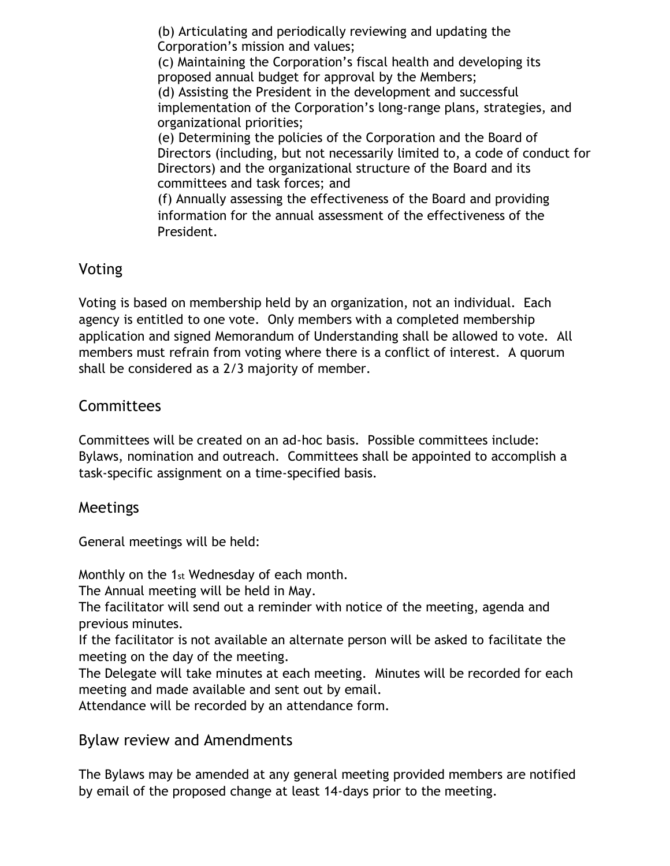(b) Articulating and periodically reviewing and updating the Corporation's mission and values; (c) Maintaining the Corporation's fiscal health and developing its proposed annual budget for approval by the Members; (d) Assisting the President in the development and successful implementation of the Corporation's long-range plans, strategies, and organizational priorities; (e) Determining the policies of the Corporation and the Board of Directors (including, but not necessarily limited to, a code of conduct for Directors) and the organizational structure of the Board and its committees and task forces; and (f) Annually assessing the effectiveness of the Board and providing information for the annual assessment of the effectiveness of the President.

# Voting

Voting is based on membership held by an organization, not an individual. Each agency is entitled to one vote. Only members with a completed membership application and signed Memorandum of Understanding shall be allowed to vote. All members must refrain from voting where there is a conflict of interest. A quorum shall be considered as a 2/3 majority of member.

### Committees

Committees will be created on an ad-hoc basis. Possible committees include: Bylaws, nomination and outreach. Committees shall be appointed to accomplish a task-specific assignment on a time-specified basis.

### Meetings

General meetings will be held:

Monthly on the 1st Wednesday of each month.

The Annual meeting will be held in May.

The facilitator will send out a reminder with notice of the meeting, agenda and previous minutes.

If the facilitator is not available an alternate person will be asked to facilitate the meeting on the day of the meeting.

The Delegate will take minutes at each meeting. Minutes will be recorded for each meeting and made available and sent out by email.

Attendance will be recorded by an attendance form.

### Bylaw review and Amendments

The Bylaws may be amended at any general meeting provided members are notified by email of the proposed change at least 14-days prior to the meeting.